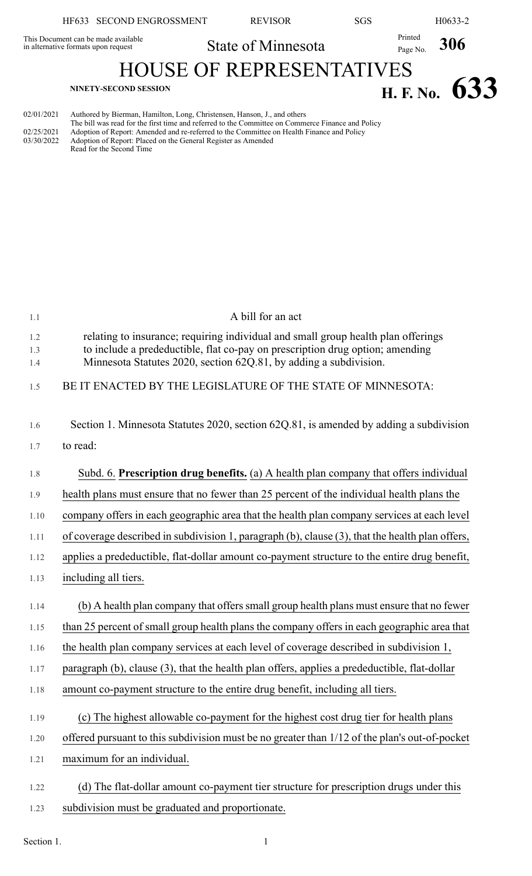|                                                                            | HF633 SECOND ENGROSSMENT | <b>REVISOR</b>     | <b>SGS</b> | H0633-2                    |  |  |  |
|----------------------------------------------------------------------------|--------------------------|--------------------|------------|----------------------------|--|--|--|
| This Document can be made available<br>in alternative formats upon request |                          | State of Minnesota |            | Printed<br>Page No.<br>306 |  |  |  |
| <b>HOUSE OF REPRESENTATIVES</b>                                            |                          |                    |            |                            |  |  |  |
| NINETY-SECOND SESSION                                                      |                          |                    |            | H. F. No. $633$            |  |  |  |

| 02/01/2021 | Authored by Bierman, Hamilton, Long, Christensen, Hanson, J., and others                          |
|------------|---------------------------------------------------------------------------------------------------|
|            | The bill was read for the first time and referred to the Committee on Commerce Finance and Policy |
| 02/25/2021 | Adoption of Report: Amended and re-referred to the Committee on Health Finance and Policy         |
| 03/30/2022 | Adoption of Report: Placed on the General Register as Amended                                     |
|            | Read for the Second Time                                                                          |

| 1.1        | A bill for an act                                                                                                                                  |
|------------|----------------------------------------------------------------------------------------------------------------------------------------------------|
| 1.2        | relating to insurance; requiring individual and small group health plan offerings                                                                  |
| 1.3<br>1.4 | to include a predeductible, flat co-pay on prescription drug option; amending<br>Minnesota Statutes 2020, section 62Q.81, by adding a subdivision. |
|            |                                                                                                                                                    |
| 1.5        | BE IT ENACTED BY THE LEGISLATURE OF THE STATE OF MINNESOTA:                                                                                        |
|            |                                                                                                                                                    |
| 1.6        | Section 1. Minnesota Statutes 2020, section 62Q.81, is amended by adding a subdivision                                                             |
| 1.7        | to read:                                                                                                                                           |
| 1.8        | Subd. 6. Prescription drug benefits. (a) A health plan company that offers individual                                                              |
| 1.9        | health plans must ensure that no fewer than 25 percent of the individual health plans the                                                          |
| 1.10       | company offers in each geographic area that the health plan company services at each level                                                         |
| 1.11       | of coverage described in subdivision 1, paragraph (b), clause (3), that the health plan offers,                                                    |
| 1.12       | applies a predeductible, flat-dollar amount co-payment structure to the entire drug benefit,                                                       |
| 1.13       | including all tiers.                                                                                                                               |
| 1.14       | (b) A health plan company that offers small group health plans must ensure that no fewer                                                           |
| 1.15       | than 25 percent of small group health plans the company offers in each geographic area that                                                        |
|            |                                                                                                                                                    |
| 1.16       | the health plan company services at each level of coverage described in subdivision 1,                                                             |
| 1.17       | paragraph (b), clause (3), that the health plan offers, applies a predeductible, flat-dollar                                                       |
| 1.18       | amount co-payment structure to the entire drug benefit, including all tiers.                                                                       |
| 1.19       | (c) The highest allowable co-payment for the highest cost drug tier for health plans                                                               |
| 1.20       | offered pursuant to this subdivision must be no greater than 1/12 of the plan's out-of-pocket                                                      |
| 1.21       | maximum for an individual.                                                                                                                         |
|            |                                                                                                                                                    |
| 1.22       | (d) The flat-dollar amount co-payment tier structure for prescription drugs under this                                                             |
| 1.23       | subdivision must be graduated and proportionate.                                                                                                   |